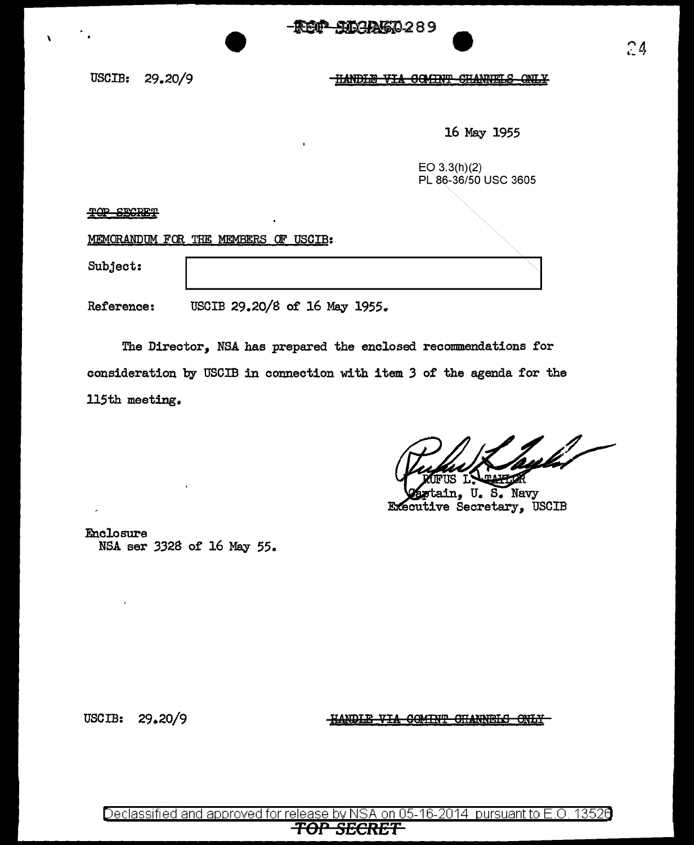USCIB: 29.20/9

\

HANDLE VIA GOMINT CHANNELS  $\overline{\text{OMLY}}$ 

16 May 1955

EO 3.3(h)(2) PL 86-36/50 USC 3605

 $TQP$  SECRET

MEMORANDUM FOR THE MEMBERS OF USCIB:

Subject:

Reference: USCIB 29.20/8 of 16 May 1955.

The Director, NSA has prepared the enclosed recommendations for consideration by USCIB in connection with item *3* of the agenda for the 115th meeting.

hylet

ain, U.S. Navy Executive Secretary, USCIB

Enclosure NSA ser 3328 of 16 May 55.

USCIB: 29.20/9

HANDLE VIA COMINT CHANNELS ONLY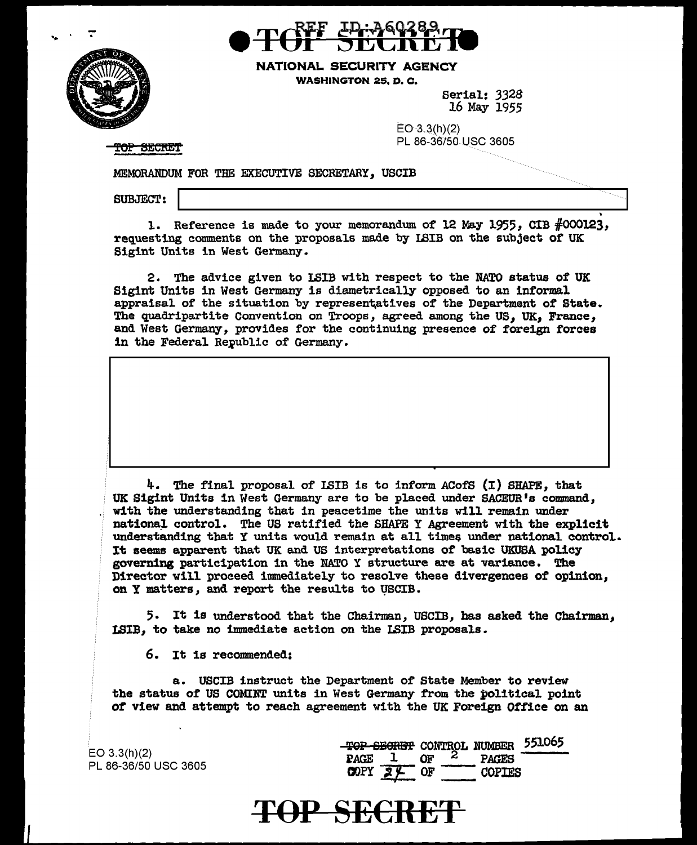

NATIONAL SECURITY AGENCY WASHINGTON 25. D. C.

> Serial: *3328*  16 May 1955

 $EO-3.3(h)(2)$ PL 86-36750 use 3605

**TOP SECRET** 

.MEMORANDUM FOR TBE EXECUTIVE SECRETARY, USCIB

SUBJECT:

1. Reference is made to your memorandum of 12 May 1955, CIB  $\#000123$ , requesting comments on the proposals made by LSIB on the subject of UK Sigint Units in West Germany.

2. The advice given to LSIB with respect to the NATO status of UK Sigint Units in West Germany is diametrically opposed to an informal appraisal of the situation by representatives of the Department of State. The quadripartite Convention on Troops, agreed among the us, *UK,* France, and West Germany, provides for the continuing presence of foreign forces in the Federal Republic of Germany.

4. The final proposal of ISIB is to inform ACofS  $(I)$  SHAPE, that UK Sigint Units in West Germany are to be placed under SACEUR's command, with the understanding that in peacetime the units will remain under national control. The US ratified the SHAPE Y Agreement with the explicit understanding that Y units would remain at all times under national control. It seems apparent that UK and US interpretations of basic UKUSA policy governing participation in the NATO Y structure ere at variance. The Director will proceed immediately to resolve these divergences of opinion, on Y matters, and report the results to VSCIB.

5. It is understood that the Chairman, USCIB, has asked the Chairman, LSIB, to take no immediate action on the LSIB proposals.

6. It is recommended:

a. USCIB instruct the Department of State Member to review the status of US COMINT units in West Germany from the political point of view and attempt to reach agreement with the UK Foreign Office on an

 $EO$  3.3(h)(2) PL 86-36/50 USC 3605

|             |    |               | TOP SECRET CONTROL NUMBER 551065 |
|-------------|----|---------------|----------------------------------|
| PAGE        | በክ | <b>PAGES</b>  |                                  |
| <b>COPY</b> |    | <b>COPTES</b> |                                  |

## 'fOP SE€RE'F